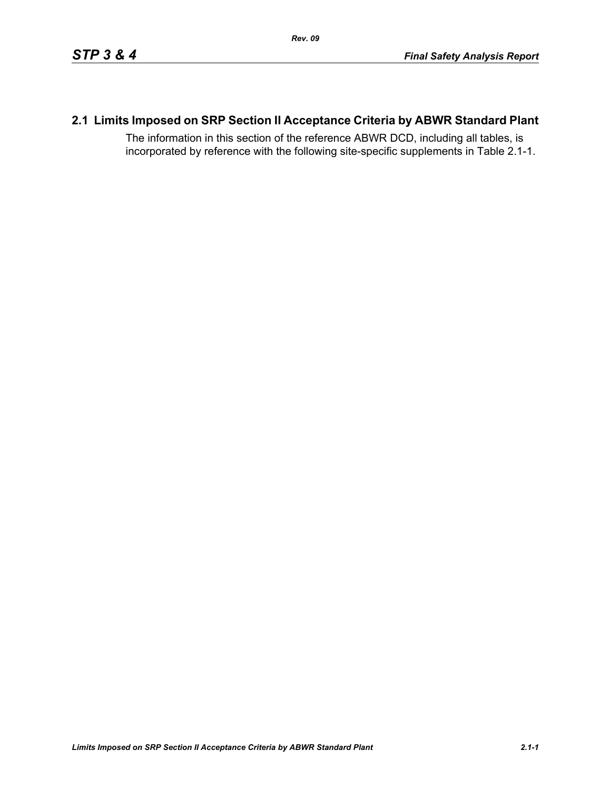# **2.1 Limits Imposed on SRP Section II Acceptance Criteria by ABWR Standard Plant**

The information in this section of the reference ABWR DCD, including all tables, is incorporated by reference with the following site-specific supplements in Table [2.1-1.](#page-1-0)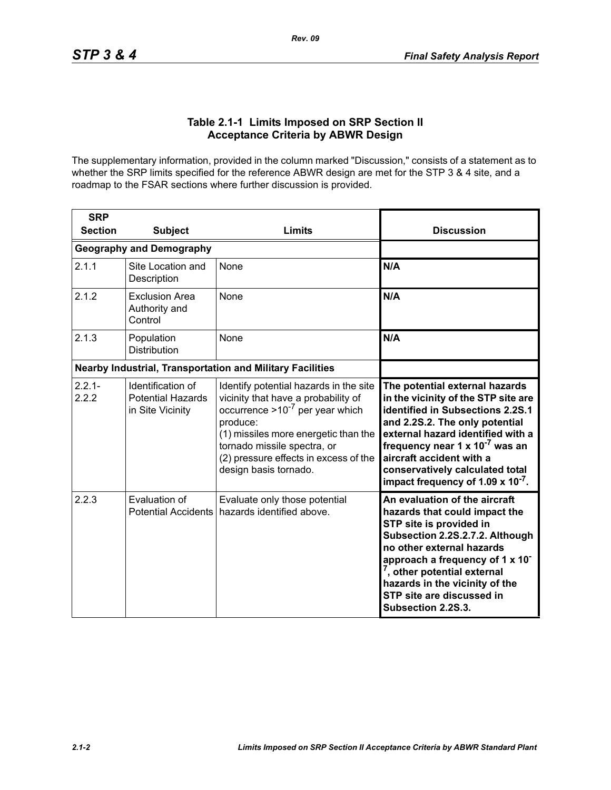## **Table 2.1-1 Limits Imposed on SRP Section II Acceptance Criteria by ABWR Design**

<span id="page-1-0"></span>The supplementary information, provided in the column marked "Discussion," consists of a statement as to whether the SRP limits specified for the reference ABWR design are met for the STP 3 & 4 site, and a roadmap to the FSAR sections where further discussion is provided.

| <b>SRP</b><br><b>Section</b> | <b>Subject</b>                                                    | <b>Limits</b>                                                                                                                                                                                                                                                              | <b>Discussion</b>                                                                                                                                                                                                                                                                                                                                            |
|------------------------------|-------------------------------------------------------------------|----------------------------------------------------------------------------------------------------------------------------------------------------------------------------------------------------------------------------------------------------------------------------|--------------------------------------------------------------------------------------------------------------------------------------------------------------------------------------------------------------------------------------------------------------------------------------------------------------------------------------------------------------|
|                              | <b>Geography and Demography</b>                                   |                                                                                                                                                                                                                                                                            |                                                                                                                                                                                                                                                                                                                                                              |
| 2.1.1                        | Site Location and<br>Description                                  | None                                                                                                                                                                                                                                                                       | N/A                                                                                                                                                                                                                                                                                                                                                          |
| 2.1.2                        | <b>Exclusion Area</b><br>Authority and<br>Control                 | <b>None</b>                                                                                                                                                                                                                                                                | N/A                                                                                                                                                                                                                                                                                                                                                          |
| 2.1.3                        | Population<br><b>Distribution</b>                                 | None                                                                                                                                                                                                                                                                       | N/A                                                                                                                                                                                                                                                                                                                                                          |
|                              |                                                                   | <b>Nearby Industrial, Transportation and Military Facilities</b>                                                                                                                                                                                                           |                                                                                                                                                                                                                                                                                                                                                              |
| $2.2.1 -$<br>2.2.2           | Identification of<br><b>Potential Hazards</b><br>in Site Vicinity | Identify potential hazards in the site<br>vicinity that have a probability of<br>occurrence $>10^{-7}$ per year which<br>produce:<br>(1) missiles more energetic than the<br>tornado missile spectra, or<br>(2) pressure effects in excess of the<br>design basis tornado. | The potential external hazards<br>in the vicinity of the STP site are<br>identified in Subsections 2.2S.1<br>and 2.2S.2. The only potential<br>external hazard identified with a<br>frequency near 1 $\times$ 10 <sup>-7</sup> was an<br>aircraft accident with a<br>conservatively calculated total<br>impact frequency of 1.09 $\times$ 10 <sup>-7</sup> . |
| 2.2.3                        | Evaluation of<br><b>Potential Accidents</b>                       | Evaluate only those potential<br>hazards identified above.                                                                                                                                                                                                                 | An evaluation of the aircraft<br>hazards that could impact the<br>STP site is provided in<br>Subsection 2.2S.2.7.2. Although<br>no other external hazards<br>approach a frequency of 1 x 10 <sup>-</sup><br>7, other potential external<br>hazards in the vicinity of the<br>STP site are discussed in<br>Subsection 2.2S.3.                                 |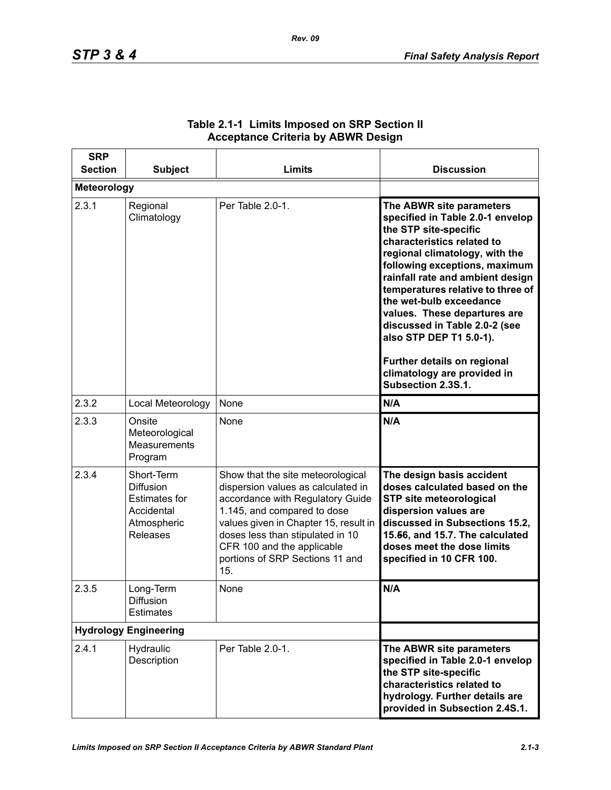| <b>SRP</b><br><b>Section</b> | <b>Subject</b>                                                                                         | Limits                                                                                                                                                                                                                                                                                          | <b>Discussion</b>                                                                                                                                                                                                                                                                                                                                                                                                                                                          |
|------------------------------|--------------------------------------------------------------------------------------------------------|-------------------------------------------------------------------------------------------------------------------------------------------------------------------------------------------------------------------------------------------------------------------------------------------------|----------------------------------------------------------------------------------------------------------------------------------------------------------------------------------------------------------------------------------------------------------------------------------------------------------------------------------------------------------------------------------------------------------------------------------------------------------------------------|
| <b>Meteorology</b>           |                                                                                                        |                                                                                                                                                                                                                                                                                                 |                                                                                                                                                                                                                                                                                                                                                                                                                                                                            |
| 2.3.1                        | Regional<br>Climatology                                                                                | Per Table 2.0-1.                                                                                                                                                                                                                                                                                | The ABWR site parameters<br>specified in Table 2.0-1 envelop<br>the STP site-specific<br>characteristics related to<br>regional climatology, with the<br>following exceptions, maximum<br>rainfall rate and ambient design<br>temperatures relative to three of<br>the wet-bulb exceedance<br>values. These departures are<br>discussed in Table 2.0-2 (see<br>also STP DEP T1 5.0-1).<br>Further details on regional<br>climatology are provided in<br>Subsection 2.3S.1. |
| 2.3.2                        | Local Meteorology                                                                                      | None                                                                                                                                                                                                                                                                                            | N/A                                                                                                                                                                                                                                                                                                                                                                                                                                                                        |
| 2.3.3                        | Onsite<br>Meteorological<br><b>Measurements</b><br>Program                                             | None                                                                                                                                                                                                                                                                                            | N/A                                                                                                                                                                                                                                                                                                                                                                                                                                                                        |
| 2.3.4                        | Short-Term<br><b>Diffusion</b><br><b>Estimates for</b><br>Accidental<br>Atmospheric<br><b>Releases</b> | Show that the site meteorological<br>dispersion values as calculated in<br>accordance with Regulatory Guide<br>1.145, and compared to dose<br>values given in Chapter 15, result in<br>doses less than stipulated in 10<br>CFR 100 and the applicable<br>portions of SRP Sections 11 and<br>15. | The design basis accident<br>doses calculated based on the<br><b>STP site meteorological</b><br>dispersion values are<br>discussed in Subsections 15.2,<br>15.56, and 15.7. The calculated<br>doses meet the dose limits<br>specified in 10 CFR 100.                                                                                                                                                                                                                       |
| 2.3.5                        | Long-Term<br>Diffusion<br><b>Estimates</b>                                                             | None                                                                                                                                                                                                                                                                                            | N/A                                                                                                                                                                                                                                                                                                                                                                                                                                                                        |
| <b>Hydrology Engineering</b> |                                                                                                        |                                                                                                                                                                                                                                                                                                 |                                                                                                                                                                                                                                                                                                                                                                                                                                                                            |
| 2.4.1                        | Hydraulic<br>Description                                                                               | Per Table 2.0-1.                                                                                                                                                                                                                                                                                | The ABWR site parameters<br>specified in Table 2.0-1 envelop<br>the STP site-specific<br>characteristics related to<br>hydrology. Further details are<br>provided in Subsection 2.4S.1.                                                                                                                                                                                                                                                                                    |

## **Table 2.1-1 Limits Imposed on SRP Section II Acceptance Criteria by ABWR Design**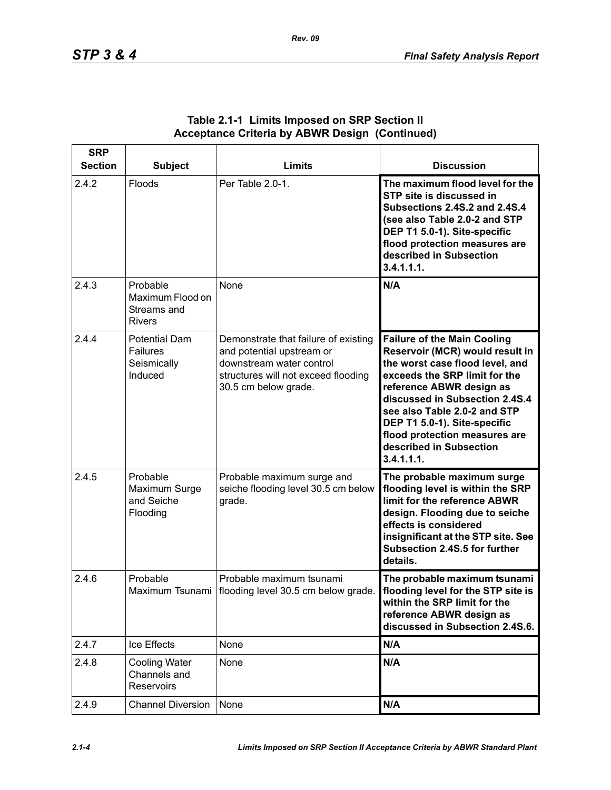| <b>SRP</b><br><b>Section</b> | <b>Subject</b>                                                    | <b>Limits</b>                                                                                                                                                | <b>Discussion</b>                                                                                                                                                                                                                                                                                                                                 |
|------------------------------|-------------------------------------------------------------------|--------------------------------------------------------------------------------------------------------------------------------------------------------------|---------------------------------------------------------------------------------------------------------------------------------------------------------------------------------------------------------------------------------------------------------------------------------------------------------------------------------------------------|
| 2.4.2                        | Floods                                                            | Per Table 2.0-1.                                                                                                                                             | The maximum flood level for the<br>STP site is discussed in<br><b>Subsections 2.4S.2 and 2.4S.4</b><br>(see also Table 2.0-2 and STP<br>DEP T1 5.0-1). Site-specific<br>flood protection measures are<br>described in Subsection<br>3.4.1.1.1.                                                                                                    |
| 2.4.3                        | Probable<br>Maximum Flood on<br>Streams and<br><b>Rivers</b>      | None                                                                                                                                                         | N/A                                                                                                                                                                                                                                                                                                                                               |
| 2.4.4                        | <b>Potential Dam</b><br><b>Failures</b><br>Seismically<br>Induced | Demonstrate that failure of existing<br>and potential upstream or<br>downstream water control<br>structures will not exceed flooding<br>30.5 cm below grade. | <b>Failure of the Main Cooling</b><br>Reservoir (MCR) would result in<br>the worst case flood level, and<br>exceeds the SRP limit for the<br>reference ABWR design as<br>discussed in Subsection 2.4S.4<br>see also Table 2.0-2 and STP<br>DEP T1 5.0-1). Site-specific<br>flood protection measures are<br>described in Subsection<br>3.4.1.1.1. |
| 2.4.5                        | Probable<br>Maximum Surge<br>and Seiche<br>Flooding               | Probable maximum surge and<br>seiche flooding level 30.5 cm below<br>grade.                                                                                  | The probable maximum surge<br>flooding level is within the SRP<br>limit for the reference ABWR<br>design. Flooding due to seiche<br>effects is considered<br>insignificant at the STP site. See<br>Subsection 2.4S.5 for further<br>details.                                                                                                      |
| 2.4.6                        | Probable                                                          | Probable maximum tsunami<br>Maximum Tsunami   flooding level 30.5 cm below grade.                                                                            | The probable maximum tsunami<br>flooding level for the STP site is<br>within the SRP limit for the<br>reference ABWR design as<br>discussed in Subsection 2.4S.6.                                                                                                                                                                                 |
| 2.4.7                        | Ice Effects                                                       | None                                                                                                                                                         | N/A                                                                                                                                                                                                                                                                                                                                               |
| 2.4.8                        | <b>Cooling Water</b><br>Channels and<br>Reservoirs                | None                                                                                                                                                         | N/A                                                                                                                                                                                                                                                                                                                                               |
| 2.4.9                        | <b>Channel Diversion</b>                                          | None                                                                                                                                                         | N/A                                                                                                                                                                                                                                                                                                                                               |

## **Table 2.1-1 Limits Imposed on SRP Section II Acceptance Criteria by ABWR Design (Continued)**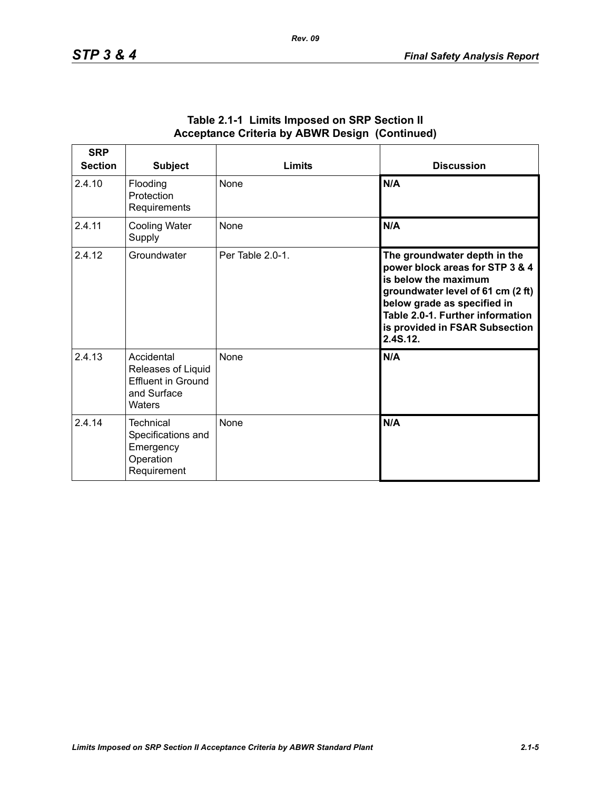| <b>SRP</b><br><b>Section</b> | <b>Subject</b>                                                                         | Limits           | <b>Discussion</b>                                                                                                                                                                                                                             |
|------------------------------|----------------------------------------------------------------------------------------|------------------|-----------------------------------------------------------------------------------------------------------------------------------------------------------------------------------------------------------------------------------------------|
| 2.4.10                       | Flooding<br>Protection<br>Requirements                                                 | <b>None</b>      | N/A                                                                                                                                                                                                                                           |
| 2.4.11                       | <b>Cooling Water</b><br>Supply                                                         | <b>None</b>      | N/A                                                                                                                                                                                                                                           |
| 2.4.12                       | Groundwater                                                                            | Per Table 2.0-1. | The groundwater depth in the<br>power block areas for STP 3 & 4<br>is below the maximum<br>groundwater level of 61 cm (2 ft)<br>below grade as specified in<br>Table 2.0-1. Further information<br>is provided in FSAR Subsection<br>2.4S.12. |
| 2.4.13                       | Accidental<br>Releases of Liquid<br><b>Effluent in Ground</b><br>and Surface<br>Waters | None             | N/A                                                                                                                                                                                                                                           |
| 2414                         | Technical<br>Specifications and<br>Emergency<br>Operation<br>Requirement               | <b>None</b>      | N/A                                                                                                                                                                                                                                           |

#### **Table 2.1-1 Limits Imposed on SRP Section II Acceptance Criteria by ABWR Design (Continued)**